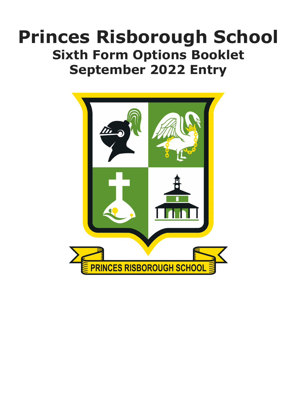# **Princes Risborough School Sixth Form Options Booklet September 2022 Entry**

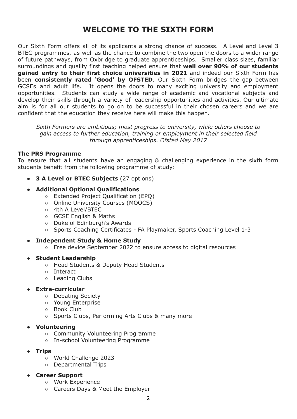## **WELCOME TO THE SIXTH FORM**

Our Sixth Form offers all of its applicants a strong chance of success. A Level and Level 3 BTEC programmes, as well as the chance to combine the two open the doors to a wider range of future pathways, from Oxbridge to graduate apprenticeships. Smaller class sizes, familiar surroundings and quality first teaching helped ensure that **well over 90% of our students gained entry to their first choice universities in 2021** and indeed our Sixth Form has been **consistently rated 'Good' by OFSTED**. Our Sixth Form bridges the gap between GCSEs and adult life. It opens the doors to many exciting university and employment opportunities. Students can study a wide range of academic and vocational subjects and develop their skills through a variety of leadership opportunities and activities. Our ultimate aim is for all our students to go on to be successful in their chosen careers and we are confident that the education they receive here will make this happen.

*Sixth Formers are ambitious; most progress to university, while others choose to gain access to further education, training or employment in their selected field through apprenticeships. Ofsted May 2017*

#### **The PRS Programme**

To ensure that all students have an engaging & challenging experience in the sixth form students benefit from the following programme of study:

**● 3 A Level or BTEC Subjects** (27 options)

#### **● Additional Optional Qualifications**

- Extended Project Qualification (EPQ)
- Online University Courses (MOOCS)
- 4th A Level/BTEC
- GCSE English & Maths
- Duke of Edinburgh's Awards
- Sports Coaching Certificates FA Playmaker, Sports Coaching Level 1-3
- **● Independent Study & Home Study**
	- Free device September 2022 to ensure access to digital resources

#### **● Student Leadership**

- Head Students & Deputy Head Students
- Interact
- Leading Clubs

#### **● Extra-curricular**

- Debating Society
- Young Enterprise
- Book Club
- Sports Clubs, Performing Arts Clubs & many more

#### **● Volunteering**

- Community Volunteering Programme
- In-school Volunteering Programme

#### **● Trips**

- World Challenge 2023
- Departmental Trips
- **● Career Support**
	- Work Experience
	- Careers Days & Meet the Employer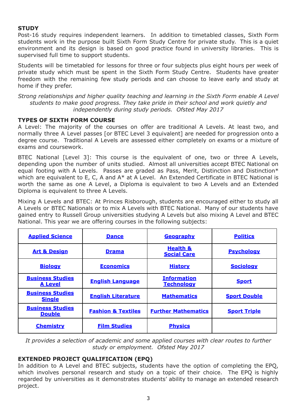### **STUDY**

Post-16 study requires independent learners. In addition to timetabled classes, Sixth Form students work in the purpose built Sixth Form Study Centre for private study. This is a quiet environment and its design is based on good practice found in university libraries. This is supervised full time to support students.

Students will be timetabled for lessons for three or four subjects plus eight hours per week of private study which must be spent in the Sixth Form Study Centre. Students have greater freedom with the remaining few study periods and can choose to leave early and study at home if they prefer.

*Strong relationships and higher quality teaching and learning in the Sixth Form enable A Level students to make good progress. They take pride in their school and work quietly and independently during study periods. Ofsted May 2017*

### **TYPES OF SIXTH FORM COURSE**

A Level: The majority of the courses on offer are traditional A Levels. At least two, and normally three A Level passes [or BTEC Level 3 equivalent] are needed for progression onto a degree course. Traditional A Levels are assessed either completely on exams or a mixture of exams and coursework.

BTEC National [Level 3]: This course is the equivalent of one, two or three A Levels, depending upon the number of units studied. Almost all universities accept BTEC National on equal footing with A Levels. Passes are graded as Pass, Merit, Distinction and Distinction\* which are equivalent to E, C, A and  $A^*$  at A Level. An Extended Certificate in BTEC National is worth the same as one A Level, a Diploma is equivalent to two A Levels and an Extended Diploma is equivalent to three A Levels.

Mixing A Levels and BTEC: At Princes Risborough, students are encouraged either to study all A Levels or BTEC Nationals or to mix A Levels with BTEC National. Many of our students have gained entry to Russell Group universities studying A Levels but also mixing A Level and BTEC National. This year we are offering courses in the following subjects:

| <b>Applied Science</b>                    | <b>Dance</b>                  | Geography                                 | <b>Politics</b>     |
|-------------------------------------------|-------------------------------|-------------------------------------------|---------------------|
| <b>Art &amp; Design</b>                   | <b>Drama</b>                  | <b>Health &amp;</b><br><b>Social Care</b> | <b>Psychology</b>   |
| <b>Biology</b>                            | <b>Economics</b>              | <b>History</b>                            | <b>Sociology</b>    |
| <b>Business Studies</b><br><b>A Level</b> | <b>English Language</b>       | <b>Information</b><br><b>Technology</b>   | <b>Sport</b>        |
| <b>Business Studies</b><br><b>Single</b>  | <b>English Literature</b>     | <b>Mathematics</b>                        | <b>Sport Double</b> |
| <b>Business Studies</b><br><b>Double</b>  | <b>Fashion &amp; Textiles</b> | <b>Further Mathematics</b>                | <b>Sport Triple</b> |
| <b>Chemistry</b>                          | <b>Film Studies</b>           | <b>Physics</b>                            |                     |

*It provides a selection of academic and some applied courses with clear routes to further study or employment. Ofsted May 2017*

### **EXTENDED PROJECT QUALIFICATION (EPQ)**

In addition to A Level and BTEC subjects, students have the option of completing the EPQ, which involves personal research and study on a topic of their choice. The EPQ is highly regarded by universities as it demonstrates students' ability to manage an extended research project.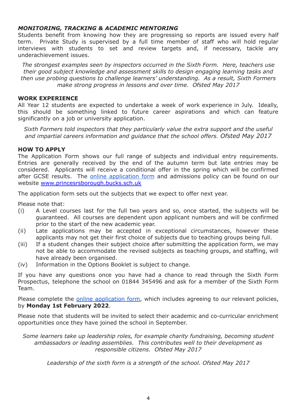#### *MONITORING, TRACKING & ACADEMIC MENTORING*

Students benefit from knowing how they are progressing so reports are issued every half term. Private Study is supervised by a full time member of staff who will hold regular interviews with students to set and review targets and, if necessary, tackle any underachievement issues.

*The strongest examples seen by inspectors occurred in the Sixth Form. Here, teachers use their good subject knowledge and assessment skills to design engaging learning tasks and then use probing questions to challenge learners' understanding. As a result, Sixth Formers make strong progress in lessons and over time. Ofsted May 2017*

#### **WORK EXPERIENCE**

All Year 12 students are expected to undertake a week of work experience in July. Ideally, this should be something linked to future career aspirations and which can feature significantly on a job or university application.

*Sixth Formers told inspectors that they particularly value the extra support and the useful and impartial careers information and guidance that the school offers. Ofsted May 2017*

#### **HOW TO APPLY**

The Application Form shows our full range of subjects and individual entry requirements. Entries are generally received by the end of the autumn term but late entries may be considered. Applicants will receive a conditional offer in the spring which will be confirmed after GCSE results. The **online [application](https://forms.gle/SLQPhrr72DxjQRJp8) form** and admissions policy can be found on our website [www.princesrsborough.bucks.sch.uk](http://www.princesrsborough.bucks.sch.uk)

The application form sets out the subjects that we expect to offer next year.

Please note that:

- (i) A Level courses last for the full two years and so, once started, the subjects will be guaranteed. All courses are dependent upon applicant numbers and will be confirmed prior to the start of the new academic year.
- (ii) Late applications may be accepted in exceptional circumstances, however these applicants may not get their first choice of subjects due to teaching groups being full.
- (iii) If a student changes their subject choice after submitting the application form, we may not be able to accommodate the revised subjects as teaching groups, and staffing, will have already been organised.
- (iv) Information in the Options Booklet is subject to change.

If you have any questions once you have had a chance to read through the Sixth Form Prospectus, telephone the school on 01844 345496 and ask for a member of the Sixth Form Team.

Please complete the online [application](https://forms.gle/SLQPhrr72DxjQRJp8) form, which includes agreeing to our relevant policies, by **Monday 1st February 2022**.

Please note that students will be invited to select their academic and co-curricular enrichment opportunities once they have joined the school in September.

*Some learners take up leadership roles, for example charity fundraising, becoming student ambassadors or leading assemblies. This contributes well to their development as responsible citizens. Ofsted May 2017*

*Leadership of the sixth form is a strength of the school. Ofsted May 2017*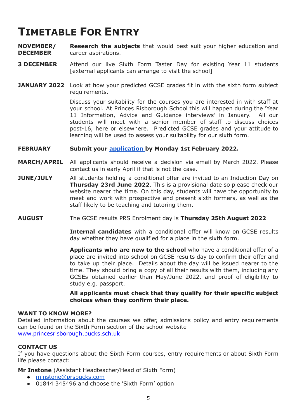## **TIMETABLE FOR ENTRY**

**NOVEMBER/ DECEMBER Research the subjects** that would best suit your higher education and career aspirations.

- **3 DECEMBER** Attend our live Sixth Form Taster Day for existing Year 11 students [external applicants can arrange to visit the school]
- **JANUARY 2022** Look at how your predicted GCSE grades fit in with the sixth form subject requirements.

Discuss your suitability for the courses you are interested in with staff at your school. At Princes Risborough School this will happen during the 'Year 11 Information, Advice and Guidance interviews' in January. All our students will meet with a senior member of staff to discuss choices post-16, here or elsewhere. Predicted GCSE grades and your attitude to learning will be used to assess your suitability for our sixth form.

#### **FEBRUARY Submit your [application](https://forms.gle/SLQPhrr72DxjQRJp8) by Monday 1st February 2022.**

- **MARCH/APRIL** All applicants should receive a decision via email by March 2022. Please contact us in early April if that is not the case.
- **JUNE/JULY** All students holding a conditional offer are invited to an Induction Day on **Thursday 23rd June 2022**. This is a provisional date so please check our website nearer the time. On this day, students will have the opportunity to meet and work with prospective and present sixth formers, as well as the staff likely to be teaching and tutoring them.
- **AUGUST** The GCSE results PRS Enrolment day is **Thursday 25th August 2022**

**Internal candidates** with a conditional offer will know on GCSE results day whether they have qualified for a place in the sixth form.

**Applicants who are new to the school** who have a conditional offer of a place are invited into school on GCSE results day to confirm their offer and to take up their place. Details about the day will be issued nearer to the time. They should bring a copy of all their results with them, including any GCSEs obtained earlier than May/June 2022, and proof of eligibility to study e.g. passport.

**All applicants must check that they qualify for their specific subject choices when they confirm their place.**

#### **WANT TO KNOW MORE?**

Detailed information about the courses we offer, admissions policy and entry requirements can be found on the Sixth Form section of the school website [www.princesrisborough.bucks.sch.uk](http://www.princesrisborough.bucks.sch.uk)

#### **CONTACT US**

If you have questions about the Sixth Form courses, entry requirements or about Sixth Form life please contact:

**Mr Instone** (Assistant Headteacher/Head of Sixth Form)

- [minstone@prsbucks.com](mailto:minstone@prsbucks.com)
- 01844 345496 and choose the 'Sixth Form' option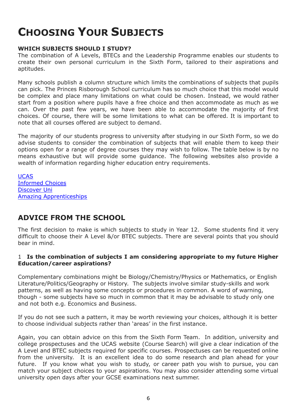## **CHOOSING YOUR SUBJECTS**

### **WHICH SUBJECTS SHOULD I STUDY?**

The combination of A Levels, BTECs and the Leadership Programme enables our students to create their own personal curriculum in the Sixth Form, tailored to their aspirations and aptitudes.

Many schools publish a column structure which limits the combinations of subjects that pupils can pick. The Princes Risborough School curriculum has so much choice that this model would be complex and place many limitations on what could be chosen. Instead, we would rather start from a position where pupils have a free choice and then accommodate as much as we can. Over the past few years, we have been able to accommodate the majority of first choices. Of course, there will be some limitations to what can be offered. It is important to note that all courses offered are subject to demand.

The majority of our students progress to university after studying in our Sixth Form, so we do advise students to consider the combination of subjects that will enable them to keep their options open for a range of degree courses they may wish to follow. The table below is by no means exhaustive but will provide some guidance. The following websites also provide a wealth of information regarding higher education entry requirements.

[UCAS](http://www.ucas.com/) [Informed](https://www.informedchoices.ac.uk/) Choices [Discover](https://discoveruni.gov.uk/) Uni Amazing [Apprenticeships](https://amazingapprenticeships.com/)

## **ADVICE FROM THE SCHOOL**

The first decision to make is which subjects to study in Year 12. Some students find it very difficult to choose their A Level &/or BTEC subjects. There are several points that you should bear in mind.

#### 1 **Is the combination of subjects I am considering appropriate to my future Higher Education/career aspirations?**

Complementary combinations might be Biology/Chemistry/Physics or Mathematics, or English Literature/Politics/Geography or History. The subjects involve similar study-skills and work patterns, as well as having some concepts or procedures in common. A word of warning, though - some subjects have so much in common that it may be advisable to study only one and not both e.g. Economics and Business.

If you do not see such a pattern, it may be worth reviewing your choices, although it is better to choose individual subjects rather than 'areas' in the first instance.

Again, you can obtain advice on this from the Sixth Form Team. In addition, university and college prospectuses and the UCAS website (Course Search) will give a clear indication of the A Level and BTEC subjects required for specific courses. Prospectuses can be requested online from the university. It is an excellent idea to do some research and plan ahead for your future. If you know what you wish to study, or career path you wish to pursue, you can match your subject choices to your aspirations. You may also consider attending some virtual university open days after your GCSE examinations next summer.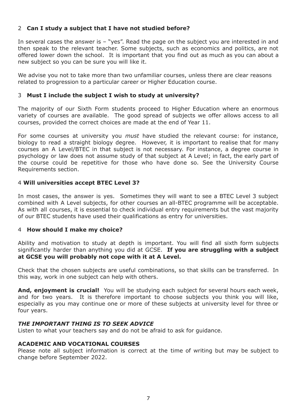### 2 **Can I study a subject that I have not studied before?**

In several cases the answer is - "yes". Read the page on the subject you are interested in and then speak to the relevant teacher. Some subjects, such as economics and politics, are not offered lower down the school. It is important that you find out as much as you can about a new subject so you can be sure you will like it.

We advise you not to take more than two unfamiliar courses, unless there are clear reasons related to progression to a particular career or Higher Education course.

#### 3 **Must I include the subject I wish to study at university?**

The majority of our Sixth Form students proceed to Higher Education where an enormous variety of courses are available. The good spread of subjects we offer allows access to all courses, provided the correct choices are made at the end of Year 11.

For some courses at university you *must* have studied the relevant course: for instance, biology to read a straight biology degree. However, it is important to realise that for many courses an A Level/BTEC in that subject is not necessary. For instance, a degree course in psychology or law does not assume study of that subject at A Level; in fact, the early part of the course could be repetitive for those who have done so. See the University Course Requirements section.

#### 4 **Will universities accept BTEC Level 3?**

In most cases, the answer is yes. Sometimes they will want to see a BTEC Level 3 subject combined with A Level subjects, for other courses an all-BTEC programme will be acceptable. As with all courses, it is essential to check individual entry requirements but the vast majority of our BTEC students have used their qualifications as entry for universities.

#### 4 **How should I make my choice?**

Ability and motivation to study at depth is important. You will find all sixth form subjects significantly harder than anything you did at GCSE. **If you are struggling with a subject at GCSE you will probably not cope with it at A Level.**

Check that the chosen subjects are useful combinations, so that skills can be transferred. In this way, work in one subject can help with others.

**And, enjoyment is crucial!** You will be studying each subject for several hours each week, and for two years. It is therefore important to choose subjects you think you will like, especially as you may continue one or more of these subjects at university level for three or four years.

#### *THE IMPORTANT THING IS TO SEEK ADVICE*

Listen to what your teachers say and do not be afraid to ask for guidance.

#### **ACADEMIC AND VOCATIONAL COURSES**

Please note all subject information is correct at the time of writing but may be subject to change before September 2022.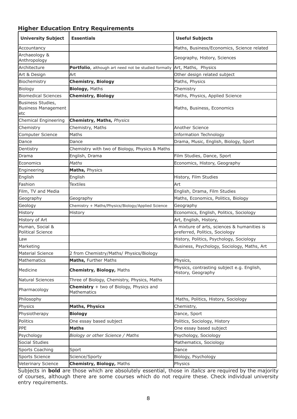### **Higher Education Entry Requirements**

| <b>University Subject</b>                              | <b>Essentials</b>                                             | <b>Useful Subjects</b>                                                        |
|--------------------------------------------------------|---------------------------------------------------------------|-------------------------------------------------------------------------------|
| Accountancy                                            |                                                               | Maths, Business/Economics, Science related                                    |
| Archaeology &<br>Anthropology                          |                                                               | Geography, History, Sciences                                                  |
| Architecture                                           | Portfolio, although art need not be studied formally          | Art, Maths, Physics                                                           |
| Art & Design                                           | Art                                                           | Other design related subject                                                  |
| Biochemistry                                           | <b>Chemistry, Biology</b>                                     | Maths, Physics                                                                |
| Biology                                                | <b>Biology, Maths</b>                                         | Chemistry                                                                     |
| <b>Biomedical Sciences</b>                             | <b>Chemistry, Biology</b>                                     | Maths, Physics, Applied Science                                               |
| Business Studies,<br><b>Business Management</b><br>etc |                                                               | Maths, Business, Economics                                                    |
| Chemical Engineering                                   | <b>Chemistry, Maths, Physics</b>                              |                                                                               |
| Chemistry                                              | Chemistry, Maths                                              | Another Science                                                               |
| Computer Science                                       | Maths                                                         | <b>Information Technology</b>                                                 |
| Dance                                                  | Dance                                                         | Drama, Music, English, Biology, Sport                                         |
| Dentistry                                              | Chemistry with two of Biology, Physics & Maths                |                                                                               |
| Drama                                                  | English, Drama                                                | Film Studies, Dance, Sport                                                    |
| Economics                                              | <b>Maths</b>                                                  | Economics, History, Geography                                                 |
| Engineering                                            | Maths, Physics                                                |                                                                               |
| English                                                | English                                                       | History, Film Studies                                                         |
| Fashion                                                | <b>Textiles</b>                                               | Art                                                                           |
| Film, TV and Media                                     |                                                               | English, Drama, Film Studies                                                  |
| Geography                                              | Geography                                                     | Maths, Economics, Politics, Biology                                           |
| Geology                                                | Chemistry + Maths/Physics/Biology/Applied Science             | Geography                                                                     |
| History                                                | History                                                       | Economics, English, Politics, Sociology                                       |
| History of Art                                         |                                                               | Art, English, History,                                                        |
| Human, Social &<br>Political Science                   |                                                               | A mixture of arts, sciences & humanities is<br>preferred, Politics, Sociology |
| Law                                                    |                                                               | History, Politics, Psychology, Sociology                                      |
| Marketing                                              |                                                               | Business, Psychology, Sociology, Maths, Art                                   |
| Material Science                                       | 2 from Chemistry/Maths/ Physics/Biology                       |                                                                               |
| Mathematics                                            | Maths, Further Maths                                          | Physics,                                                                      |
| Medicine                                               | <b>Chemistry, Biology, Maths</b>                              | Physics, contrasting subject e.g. English,<br>History, Geography              |
| Natural Sciences                                       | Three of Biology, Chemistry, Physics, Maths                   |                                                                               |
| Pharmacology                                           | <b>Chemistry</b> + two of Biology, Physics and<br>Mathematics |                                                                               |
| Philosophy                                             |                                                               | Maths, Politics, History, Sociology                                           |
| Physics                                                | <b>Maths, Physics</b>                                         | Chemistry,                                                                    |
| Physiotherapy                                          | <b>Biology</b>                                                | Dance, Sport                                                                  |
| Politics                                               | One essay based subject                                       | Politics, Sociology, History                                                  |
| PPE                                                    | <b>Maths</b>                                                  | One essay based subject                                                       |
| Psychology                                             | Biology or other Science / Maths                              | Psychology, Sociology                                                         |
| Social Studies                                         |                                                               | Mathematics, Sociology                                                        |
| <b>Sports Coaching</b>                                 | Sport                                                         | Dance                                                                         |
| <b>Sports Science</b>                                  | Science/Sporty                                                | Biology, Psychology                                                           |
| Veterinary Science                                     | <b>Chemistry, Biology, Maths</b>                              | Physics                                                                       |

Subjects in **bold** are those which are absolutely essential, those in *italics* are required by the majority of courses, although there are some courses which do not require these. Check individual university entry requirements.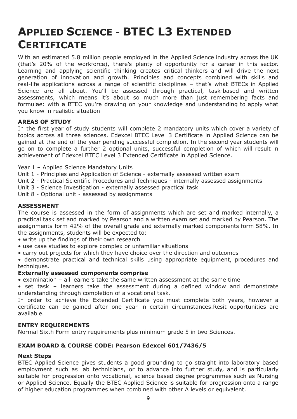## <span id="page-8-0"></span>**APPLIED SCIENCE - BTEC L3 EXTENDED CERTIFICATE**

With an estimated 5.8 million people employed in the Applied Science industry across the UK (that's 20% of the workforce), there's plenty of opportunity for a career in this sector. Learning and applying scientific thinking creates critical thinkers and will drive the next generation of innovation and growth. Principles and concepts combined with skills and real-life applications across a range of scientific disciplines – that's what BTECs in Applied Science are all about. You'll be assessed through practical, task-based and written assessments, which means it's about so much more than just remembering facts and formulae: with a BTEC you're drawing on your knowledge and understanding to apply what you know in realistic situation

#### **AREAS OF STUDY**

In the first year of study students will complete 2 mandatory units which cover a variety of topics across all three sciences. Edexcel BTEC Level 3 Certificate in Applied Science can be gained at the end of the year pending successful completion. In the second year students will go on to complete a further 2 optional units, successful completion of which will result in achievement of Edexcel BTEC Level 3 Extended Certificate in Applied Science.

- Year 1 Applied Science Mandatory Units
- Unit 1 Principles and Application of Science externally assessed written exam
- Unit 2 Practical Scientific Procedures and Techniques internally assessed assignments
- Unit 3 Science Investigation externally assessed practical task
- Unit 8 Optional unit assessed by assignments

#### **ASSESSMENT**

The course is assessed in the form of assignments which are set and marked internally, a practical task set and marked by Pearson and a written exam set and marked by Pearson. The assignments form 42% of the overall grade and externally marked components form 58%. In the assignments, students will be expected to:

- write up the findings of their own research
- use case studies to explore complex or unfamiliar situations
- carry out projects for which they have choice over the direction and outcomes

• demonstrate practical and technical skills using appropriate equipment, procedures and techniques.

#### **Externally assessed components comprise**

• examination – all learners take the same written assessment at the same time

• set task – learners take the assessment during a defined window and demonstrate understanding through completion of a vocational task.

In order to achieve the Extended Certificate you must complete both years, however a certificate can be gained after one year in certain circumstances.Resit opportunities are available.

#### **ENTRY REQUIREMENTS**

Normal Sixth Form entry requirements plus minimum grade 5 in two Sciences.

### **EXAM BOARD & COURSE CODE: Pearson Edexcel 601/7436/5**

#### **Next Steps**

BTEC Applied Science gives students a good grounding to go straight into laboratory based employment such as lab technicians, or to advance into further study, and is particularly suitable for progression onto vocational, science based degree programmes such as Nursing or Applied Science. Equally the BTEC Applied Science is suitable for progression onto a range of higher education programmes when combined with other A levels or equivalent.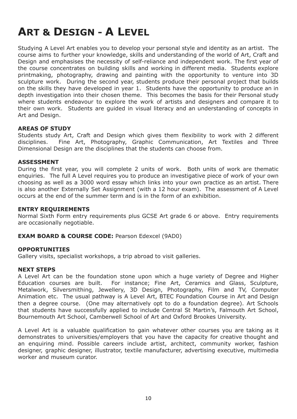## <span id="page-9-0"></span>**ART & DESIGN - A LEVEL**

Studying A Level Art enables you to develop your personal style and identity as an artist. The course aims to further your knowledge, skills and understanding of the world of Art, Craft and Design and emphasises the necessity of self-reliance and independent work. The first year of the course concentrates on building skills and working in different media. Students explore printmaking, photography, drawing and painting with the opportunity to venture into 3D sculpture work. During the second year, students produce their personal project that builds on the skills they have developed in year 1. Students have the opportunity to produce an in depth investigation into their chosen theme. This becomes the basis for their Personal study where students endeavour to explore the work of artists and designers and compare it to their own work. Students are guided in visual literacy and an understanding of concepts in Art and Design.

#### **AREAS OF STUDY**

Students study Art, Craft and Design which gives them flexibility to work with 2 different disciplines. Fine Art, Photography, Graphic Communication, Art Textiles and Three Dimensional Design are the disciplines that the students can choose from.

#### **ASSESSMENT**

During the first year, you will complete 2 units of work. Both units of work are thematic enquiries. The full A Level requires you to produce an investigative piece of work of your own choosing as well as a 3000 word essay which links into your own practice as an artist. There is also another Externally Set Assignment (with a 12 hour exam). The assessment of A Level occurs at the end of the summer term and is in the form of an exhibition.

#### **ENTRY REQUIREMENTS**

Normal Sixth Form entry requirements plus GCSE Art grade 6 or above. Entry requirements are occasionally negotiable.

#### **EXAM BOARD & COURSE CODE:** Pearson Edexcel (9AD0)

#### **OPPORTUNITIES**

Gallery visits, specialist workshops, a trip abroad to visit galleries.

#### **NEXT STEPS**

A Level Art can be the foundation stone upon which a huge variety of Degree and Higher Education courses are built. For instance; Fine Art, Ceramics and Glass, Sculpture, Metalwork, Silversmithing, Jewellery, 3D Design, Photography, Film and TV, Computer Animation etc. The usual pathway is A Level Art, BTEC Foundation Course in Art and Design then a degree course. (One may alternatively opt to do a foundation degree). Art Schools that students have successfully applied to include Central St Martin's, Falmouth Art School, Bournemouth Art School, Camberwell School of Art and Oxford Brookes University.

A Level Art is a valuable qualification to gain whatever other courses you are taking as it demonstrates to universities/employers that you have the capacity for creative thought and an enquiring mind. Possible careers include artist, architect, community worker, fashion designer, graphic designer, illustrator, textile manufacturer, advertising executive, multimedia worker and museum curator.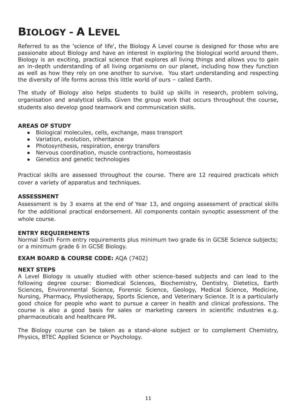## <span id="page-10-0"></span>**BIOLOGY - A LEVEL**

Referred to as the 'science of life', the Biology A Level course is designed for those who are passionate about Biology and have an interest in exploring the biological world around them. Biology is an exciting, practical science that explores all living things and allows you to gain an in-depth understanding of all living organisms on our planet, including how they function as well as how they rely on one another to survive. You start understanding and respecting the diversity of life forms across this little world of ours – called Earth.

The study of Biology also helps students to build up skills in research, problem solving, organisation and analytical skills. Given the group work that occurs throughout the course, students also develop good teamwork and communication skills.

#### **AREAS OF STUDY**

- Biological molecules, cells, exchange, mass transport
- Variation, evolution, inheritance
- Photosynthesis, respiration, energy transfers
- Nervous coordination, muscle contractions, homeostasis
- Genetics and genetic technologies

Practical skills are assessed throughout the course. There are 12 required practicals which cover a variety of apparatus and techniques.

#### **ASSESSMENT**

Assessment is by 3 exams at the end of Year 13, and ongoing assessment of practical skills for the additional practical endorsement. All components contain synoptic assessment of the whole course.

#### **ENTRY REQUIREMENTS**

Normal Sixth Form entry requirements plus minimum two grade 6s in GCSE Science subjects; or a minimum grade 6 in GCSE Biology.

#### **EXAM BOARD & COURSE CODE:** AQA (7402)

#### **NEXT STEPS**

A Level Biology is usually studied with other science-based subjects and can lead to the following degree course: Biomedical Sciences, Biochemistry, Dentistry, Dietetics, Earth Sciences, Environmental Science, Forensic Science, Geology, Medical Science, Medicine, Nursing, Pharmacy, Physiotherapy, Sports Science, and Veterinary Science. It is a particularly good choice for people who want to pursue a career in health and clinical professions. The course is also a good basis for sales or marketing careers in scientific industries e.g. pharmaceuticals and healthcare PR.

The Biology course can be taken as a stand-alone subject or to complement Chemistry, Physics, BTEC Applied Science or Psychology.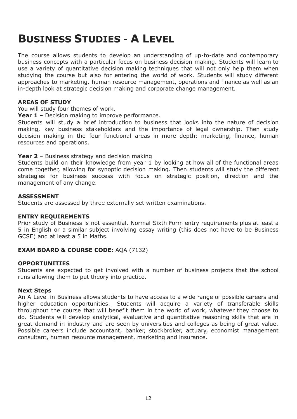## <span id="page-11-0"></span>**BUSINESS STUDIES - A LEVEL**

The course allows students to develop an understanding of up-to-date and contemporary business concepts with a particular focus on business decision making. Students will learn to use a variety of quantitative decision making techniques that will not only help them when studying the course but also for entering the world of work. Students will study different approaches to marketing, human resource management, operations and finance as well as an in-depth look at strategic decision making and corporate change management.

#### **AREAS OF STUDY**

You will study four themes of work.

**Year 1** – Decision making to improve performance.

Students will study a brief introduction to business that looks into the nature of decision making, key business stakeholders and the importance of legal ownership. Then study decision making in the four functional areas in more depth: marketing, finance, human resources and operations.

**Year 2** – Business strategy and decision making

Students build on their knowledge from year 1 by looking at how all of the functional areas come together, allowing for synoptic decision making. Then students will study the different strategies for business success with focus on strategic position, direction and the management of any change.

#### **ASSESSMENT**

Students are assessed by three externally set written examinations.

#### **ENTRY REQUIREMENTS**

Prior study of Business is not essential. Normal Sixth Form entry requirements plus at least a 5 in English or a similar subject involving essay writing (this does not have to be Business GCSE) and at least a 5 in Maths.

#### **EXAM BOARD & COURSE CODE:** AQA (7132)

#### **OPPORTUNITIES**

Students are expected to get involved with a number of business projects that the school runs allowing them to put theory into practice.

#### **Next Steps**

An A Level in Business allows students to have access to a wide range of possible careers and higher education opportunities. Students will acquire a variety of transferable skills throughout the course that will benefit them in the world of work, whatever they choose to do. Students will develop analytical, evaluative and quantitative reasoning skills that are in great demand in industry and are seen by universities and colleges as being of great value. Possible careers include accountant, banker, stockbroker, actuary, economist management consultant, human resource management, marketing and insurance.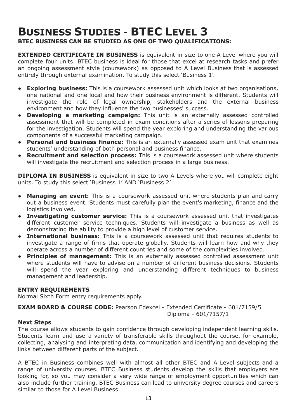## <span id="page-12-0"></span>**BUSINESS STUDIES - BTEC LEVEL 3 BTEC BUSINESS CAN BE STUDIED AS ONE OF TWO QUALIFICATIONS:**

**EXTENDED CERTIFICATE IN BUSINESS** is equivalent in size to one A Level where you will complete four units. BTEC business is ideal for those that excel at research tasks and prefer an ongoing assessment style (coursework) as opposed to A Level Business that is assessed entirely through external examination. To study this select 'Business 1'.

- **Exploring business:** This is a coursework assessed unit which looks at two organisations, one national and one local and how their business environment is different. Students will investigate the role of legal ownership, stakeholders and the external business environment and how they influence the two businesses' success.
- **● Developing a marketing campaign:** This unit is an externally assessed controlled assessment that will be completed in exam conditions after a series of lessons preparing for the investigation. Students will spend the year exploring and understanding the various components of a successful marketing campaign.
- **● Personal and business finance:** This is an externally assessed exam unit that examines students' understanding of both personal and business finance.
- **● Recruitment and selection process:** This is a coursework assessed unit where students will investigate the recruitment and selection process in a large business.

**DIPLOMA IN BUSINESS** is equivalent in size to two A Levels where you will complete eight units. To study this select 'Business 1' AND 'Business 2'

- **Managing an event:** This is a coursework assessed unit where students plan and carry out a business event. Students must carefully plan the event's marketing, finance and the logistics involved.
- **● Investigating customer service:** This is a coursework assessed unit that investigates different customer service techniques. Students will investigate a business as well as demonstrating the ability to provide a high level of customer service.
- **International business:** This is a coursework assessed unit that requires students to investigate a range of firms that operate globally. Students will learn how and why they operate across a number of different countries and some of the complexities involved.
- **Principles of management:** This is an externally assessed controlled assessment unit where students will have to advise on a number of different business decisions. Students will spend the year exploring and understanding different techniques to business management and leadership.

#### **ENTRY REQUIREMENTS**

Normal Sixth Form entry requirements apply.

**EXAM BOARD & COURSE CODE:** Pearson Edexcel - Extended Certificate - 601/7159/5 Diploma - 601/7157/1

#### **Next Steps**

The course allows students to gain confidence through developing independent learning skills. Students learn and use a variety of transferable skills throughout the course, for example, collecting, analysing and interpreting data, communication and identifying and developing the links between different parts of the subject.

A BTEC in Business combines well with almost all other BTEC and A Level subjects and a range of university courses. BTEC Business students develop the skills that employers are looking for, so you may consider a very wide range of employment opportunities which can also include further training. BTEC Business can lead to university degree courses and careers similar to those for A Level Business.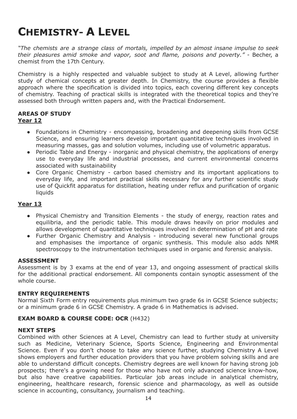## <span id="page-13-0"></span>**CHEMISTRY- A LEVEL**

*"The chemists are a strange class of mortals, impelled by an almost insane impulse to seek their pleasures amid smoke and vapor, soot and flame, poisons and poverty."* - Becher, a chemist from the 17th Century.

Chemistry is a highly respected and valuable subject to study at A Level, allowing further study of chemical concepts at greater depth. In Chemistry, the course provides a flexible approach where the specification is divided into topics, each covering different key concepts of chemistry. Teaching of practical skills is integrated with the theoretical topics and they're assessed both through written papers and, with the Practical Endorsement.

#### **AREAS OF STUDY Year 12**

- Foundations in Chemistry encompassing, broadening and deepening skills from GCSE Science, and ensuring learners develop important quantitative techniques involved in measuring masses, gas and solution volumes, including use of volumetric apparatus.
- Periodic Table and Energy inorganic and physical chemistry, the applications of energy use to everyday life and industrial processes, and current environmental concerns associated with sustainability
- Core Organic Chemistry carbon based chemistry and its important applications to everyday life, and important practical skills necessary for any further scientific study use of Quickfit apparatus for distillation, heating under reflux and purification of organic liquids

### **Year 13**

- Physical Chemistry and Transition Elements the study of energy, reaction rates and equilibria, and the periodic table. This module draws heavily on prior modules and allows development of quantitative techniques involved in determination of pH and rate
- Further Organic Chemistry and Analysis introducing several new functional groups and emphasises the importance of organic synthesis. This module also adds NMR spectroscopy to the instrumentation techniques used in organic and forensic analysis.

#### **ASSESSMENT**

Assessment is by 3 exams at the end of year 13, and ongoing assessment of practical skills for the additional practical endorsement. All components contain synoptic assessment of the whole course.

#### **ENTRY REQUIREMENTS**

Normal Sixth Form entry requirements plus minimum two grade 6s in GCSE Science subjects; or a minimum grade 6 in GCSE Chemistry. A grade 6 in Mathematics is advised.

#### **EXAM BOARD & COURSE CODE: OCR** (H432)

#### **NEXT STEPS**

Combined with other Sciences at A Level, Chemistry can lead to further study at university such as Medicine, Veterinary Science, Sports Science, Engineering and Environmental Science. Even if you don't choose to take any science further, studying Chemistry A Level shows employers and further education providers that you have problem solving skills and are able to understand difficult concepts. Chemistry degrees are well known for having strong job prospects; there's a growing need for those who have not only advanced science know-how, but also have creative capabilities. Particular job areas include in analytical chemistry, engineering, healthcare research, forensic science and pharmacology, as well as outside science in accounting, consultancy, journalism and teaching.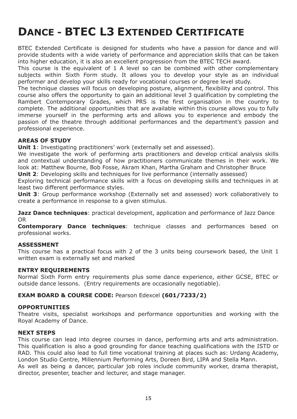## <span id="page-14-0"></span>**DANCE - BTEC L3 EXTENDED CERTIFICATE**

BTEC Extended Certificate is designed for students who have a passion for dance and will provide students with a wide variety of performance and appreciation skills that can be taken into higher education, it is also an excellent progression from the BTEC TECH award.

This course is the equivalent of 1 A level so can be combined with other complementary subjects within Sixth Form study. It allows you to develop your style as an individual performer and develop your skills ready for vocational courses or degree level study.

The technique classes will focus on developing posture, alignment, flexibility and control. This course also offers the opportunity to gain an additional level 3 qualification by completing the Rambert Contemporary Grades, which PRS is the first organisation in the country to complete. The additional opportunities that are available within this course allows you to fully immerse yourself in the performing arts and allows you to experience and embody the passion of the theatre through additional performances and the department's passion and professional experience.

### **AREAS OF STUDY**

**Unit 1**: Investigating practitioners' work (externally set and assessed).

We investigate the work of performing arts practitioners and develop critical analysis skills and contextual understanding of how practitioners communicate themes in their work. We look at: Matthew Bourne, Bob Fosse, Akram Khan, Martha Graham and Christopher Bruce

**Unit 2**: Developing skills and techniques for live performance (internally assessed)

Exploring technical performance skills with a focus on developing skills and techniques in at least two different performance styles.

**Unit 3**: Group performance workshop (Externally set and assessed) work collaboratively to create a performance in response to a given stimulus.

**Jazz Dance techniques**: practical development, application and performance of Jazz Dance OR

**Contemporary Dance techniques**: technique classes and performances based on professional works.

#### **ASSESSMENT**

This course has a practical focus with 2 of the 3 units being coursework based, the Unit 1 written exam is externally set and marked

#### **ENTRY REQUIREMENTS**

Normal Sixth Form entry requirements plus some dance experience, either GCSE, BTEC or outside dance lessons. (Entry requirements are occasionally negotiable).

#### **EXAM BOARD & COURSE CODE:** Pearson Edexcel **(601/7233/2)**

#### **OPPORTUNITIES**

Theatre visits, specialist workshops and performance opportunities and working with the Royal Academy of Dance.

#### **NEXT STEPS**

This course can lead into degree courses in dance, performing arts and arts administration. This qualification is also a good grounding for dance teaching qualifications with the ISTD or RAD. This could also lead to full time vocational training at places such as: Urdang Academy, London Studio Centre, Millennium Performing Arts, Doreen Bird, LIPA and Stella Mann. As well as being a dancer, particular job roles include community worker, drama therapist, director, presenter, teacher and lecturer, and stage manager.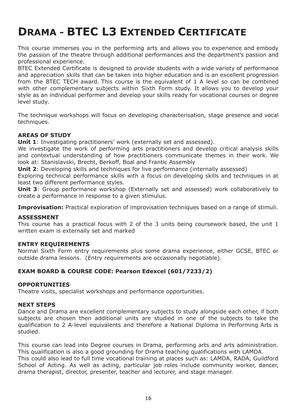## <span id="page-15-0"></span>**DRAMA - BTEC L3 EXTENDED CERTIFICATE**

This course immerses you in the performing arts and allows you to experience and embody the passion of the theatre through additional performances and the department's passion and professional experience.

BTEC Extended Certificate is designed to provide students with a wide variety of performance and appreciation skills that can be taken into higher education and is an excellent progression from the BTEC TECH award. This course is the equivalent of 1 A level so can be combined with other complementary subjects within Sixth Form study. It allows you to develop your style as an individual performer and develop your skills ready for vocational courses or degree level study.

The technique workshops will focus on developing characterisation, stage presence and vocal techniques.

### **AREAS OF STUDY**

**Unit 1**: Investigating practitioners' work (externally set and assessed).

We investigate the work of performing arts practitioners and develop critical analysis skills and contextual understanding of how practitioners communicate themes in their work. We look at: Stanislavski, Brecht, Berkoff, Boal and Frantic Assembly

**Unit 2**: Developing skills and techniques for live performance (internally assessed)

Exploring technical performance skills with a focus on developing skills and techniques in at least two different performance styles.

**Unit 3**: Group performance workshop (Externally set and assessed) work collaboratively to create a performance in response to a given stimulus.

**Improvisation:** Practical exploration of improvisation techniques based on a range of stimuli.

#### **ASSESSMENT**

This course has a practical focus with 2 of the 3 units being coursework based, the unit 1 written exam is externally set and marked

#### **ENTRY REQUIREMENTS**

Normal Sixth Form entry requirements plus some drama experience, either GCSE, BTEC or outside drama lessons. (Entry requirements are occasionally negotiable).

#### **EXAM BOARD & COURSE CODE: Pearson Edexcel (601/7233/2)**

#### **OPPORTUNITIES**

Theatre visits, specialist workshops and performance opportunities.

#### **NEXT STEPS**

Dance and Drama are excellent complementary subjects to study alongside each other, if both subjects are chosen then additional units are studied in one of the subjects to take the qualification to 2 A-level equivalents and therefore a National Diploma in Performing Arts is studied.

This course can lead into Degree courses in Drama, performing arts and arts administration. This qualification is also a good grounding for Drama teaching qualifications with LAMDA. This could also lead to full time vocational training at places such as: LAMDA, RADA, Guildford School of Acting. As well as acting, particular job roles include community worker, dancer, drama therapist, director, presenter, teacher and lecturer, and stage manager.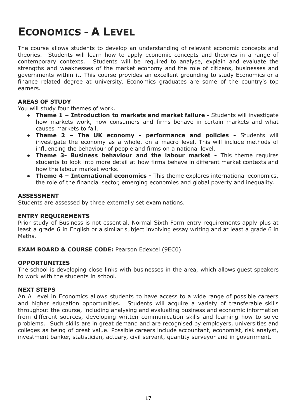## <span id="page-16-0"></span>**ECONOMICS - A LEVEL**

The course allows students to develop an understanding of relevant economic concepts and theories. Students will learn how to apply economic concepts and theories in a range of contemporary contexts. Students will be required to analyse, explain and evaluate the strengths and weaknesses of the market economy and the role of citizens, businesses and governments within it. This course provides an excellent grounding to study Economics or a finance related degree at university. Economics graduates are some of the country's top earners.

#### **AREAS OF STUDY**

You will study four themes of work.

- **Theme 1 – Introduction to markets and market failure -** Students will investigate how markets work, how consumers and firms behave in certain markets and what causes markets to fail.
- **Theme 2 – The UK economy - performance and policies -** Students will investigate the economy as a whole, on a macro level. This will include methods of influencing the behaviour of people and firms on a national level.
- **Theme 3- Business behaviour and the labour market -** This theme requires students to look into more detail at how firms behave in different market contexts and how the labour market works.
- **Theme 4 – International economics -** This theme explores international economics, the role of the financial sector, emerging economies and global poverty and inequality.

#### **ASSESSMENT**

Students are assessed by three externally set examinations.

#### **ENTRY REQUIREMENTS**

Prior study of Business is not essential. Normal Sixth Form entry requirements apply plus at least a grade 6 in English or a similar subject involving essay writing and at least a grade 6 in Maths.

#### **EXAM BOARD & COURSE CODE:** Pearson Edexcel (9EC0)

#### **OPPORTUNITIES**

The school is developing close links with businesses in the area, which allows guest speakers to work with the students in school.

#### **NEXT STEPS**

An A Level in Economics allows students to have access to a wide range of possible careers and higher education opportunities. Students will acquire a variety of transferable skills throughout the course, including analysing and evaluating business and economic information from different sources, developing written communication skills and learning how to solve problems. Such skills are in great demand and are recognised by employers, universities and colleges as being of great value. Possible careers include accountant, economist, risk analyst, investment banker, statistician, actuary, civil servant, quantity surveyor and in government.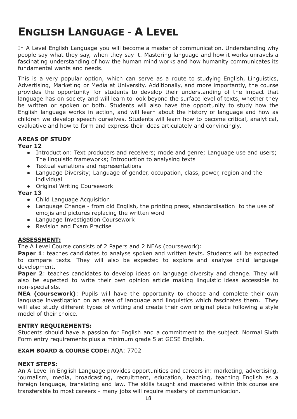## <span id="page-17-0"></span>**ENGLISH LANGUAGE - A LEVEL**

In A Level English Language you will become a master of communication. Understanding why people say what they say, when they say it. Mastering language and how it works unravels a fascinating understanding of how the human mind works and how humanity communicates its fundamental wants and needs.

This is a very popular option, which can serve as a route to studying English, Linguistics, Advertising, Marketing or Media at University. Additionally, and more importantly, the course provides the opportunity for students to develop their understanding of the impact that language has on society and will learn to look beyond the surface level of texts, whether they be written or spoken or both. Students will also have the opportunity to study how the English language works in action, and will learn about the history of language and how as children we develop speech ourselves. Students will learn how to become critical, analytical, evaluative and how to form and express their ideas articulately and convincingly.

### **AREAS OF STUDY**

#### **Year 12**

- **●** Introduction: Text producers and receivers; mode and genre; Language use and users; The linguistic frameworks; Introduction to analysing texts
- Textual variations and representations
- Language Diversity; Language of gender, occupation, class, power, region and the individual
- Original Writing Coursework

#### **Year 13**

- Child Language Acquisition
- Language Change from old English, the printing press, standardisation to the use of emojis and pictures replacing the written word
- Language Investigation Coursework
- Revision and Exam Practise

#### **ASSESSMENT:**

The A Level Course consists of 2 Papers and 2 NEAs (coursework):

**Paper 1**: teaches candidates to analyse spoken and written texts. Students will be expected to compare texts. They will also be expected to explore and analyse child language development.

**Paper 2**: teaches candidates to develop ideas on language diversity and change. They will also be expected to write their own opinion article making linguistic ideas accessible to non-specialists.

**NEA (coursework)**: Pupils will have the opportunity to choose and complete their own language investigation on an area of language and linguistics which fascinates them. They will also study different types of writing and create their own original piece following a style model of their choice.

#### **ENTRY REQUIREMENTS:**

Students should have a passion for English and a commitment to the subject. Normal Sixth Form entry requirements plus a minimum grade 5 at GCSE English.

#### **EXAM BOARD & COURSE CODE:** AQA: 7702

#### **NEXT STEPS:**

An A Level in English Language provides opportunities and careers in: marketing, advertising, journalism, media, broadcasting, recruitment, education, teaching, teaching English as a foreign language, translating and law. The skills taught and mastered within this course are transferable to most careers - many jobs will require mastery of communication.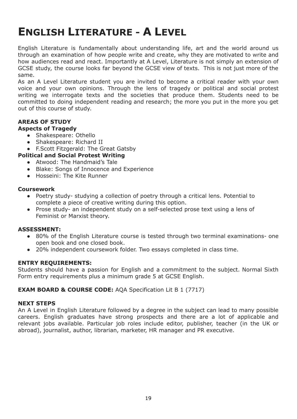## <span id="page-18-0"></span>**ENGLISH LITERATURE - A LEVEL**

English Literature is fundamentally about understanding life, art and the world around us through an examination of how people write and create, why they are motivated to write and how audiences read and react. Importantly at A Level, Literature is not simply an extension of GCSE study, the course looks far beyond the GCSE view of texts. This is not just more of the same.

As an A Level Literature student you are invited to become a critical reader with your own voice and your own opinions. Through the lens of tragedy or political and social protest writing we interrogate texts and the societies that produce them. Students need to be committed to doing independent reading and research; the more you put in the more you get out of this course of study.

## **AREAS OF STUDY**

### **Aspects of Tragedy**

- Shakespeare: Othello
- Shakespeare: Richard II

● F.Scott Fitzgerald: The Great Gatsby

- **Political and Social Protest Writing**
	- Atwood: The Handmaid's Tale
	- Blake: Songs of Innocence and Experience
	- Hosseini: The Kite Runner

### **Coursework**

- Poetry study- studying a collection of poetry through a critical lens. Potential to complete a piece of creative writing during this option.
- Prose study- an independent study on a self-selected prose text using a lens of Feminist or Marxist theory.

### **ASSESSMENT:**

- 80% of the English Literature course is tested through two terminal examinations- one open book and one closed book.
- 20% independent coursework folder. Two essays completed in class time.

### **ENTRY REQUIREMENTS:**

Students should have a passion for English and a commitment to the subject. Normal Sixth Form entry requirements plus a minimum grade 5 at GCSE English.

### **EXAM BOARD & COURSE CODE:** AQA Specification Lit B 1 (7717)

#### **NEXT STEPS**

An A Level in English Literature followed by a degree in the subject can lead to many possible careers. English graduates have strong prospects and there are a lot of applicable and relevant jobs available. Particular job roles include editor, publisher, teacher (in the UK or abroad), journalist, author, librarian, marketer, HR manager and PR executive.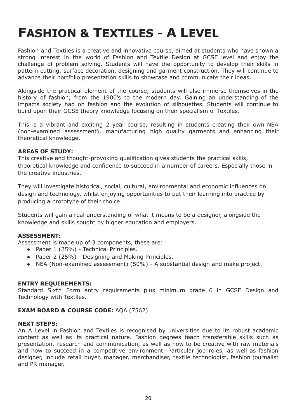# <span id="page-19-0"></span>**FASHION & TEXTILES - A LEVEL**

Fashion and Textiles is a creative and innovative course, aimed at students who have shown a strong interest in the world of Fashion and Textile Design at GCSE level and enjoy the challenge of problem solving. Students will have the opportunity to develop their skills in pattern cutting, surface decoration, designing and garment construction. They will continue to advance their portfolio presentation skills to showcase and communicate their ideas.

Alongside the practical element of the course, students will also immerse themselves in the history of fashion, from the 1900's to the modern day. Gaining an understanding of the impacts society had on fashion and the evolution of silhouettes. Students will continue to build upon their GCSE theory knowledge focusing on their specialism of Textiles.

This is a vibrant and exciting 2 year course, resulting in students creating their own NEA (non-examined assessment), manufacturing high quality garments and enhancing their theoretical knowledge.

#### **AREAS OF STUDY:**

This creative and thought-provoking qualification gives students the practical skills, theoretical knowledge and confidence to succeed in a number of careers. Especially those in the creative industries.

They will investigate historical, social, cultural, environmental and economic influences on design and technology, whilst enjoying opportunities to put their learning into practice by producing a prototype of their choice.

Students will gain a real understanding of what it means to be a designer, alongside the knowledge and skills sought by higher education and employers.

#### **ASSESSMENT:**

Assessment is made up of 3 components, these are:

- Paper 1 (25%) Technical Principles.
- Paper 2 (25%) Designing and Making Principles.
- NEA (Non-examined assessment) (50%) A substantial design and make project.

#### **ENTRY REQUIREMENTS:**

Standard Sixth Form entry requirements plus minimum grade 6 in GCSE Design and Technology with Textiles.

#### **EXAM BOARD & COURSE CODE:** AQA (7562)

#### **NEXT STEPS:**

An A Level in Fashion and Textiles is recognised by universities due to its robust academic content as well as its practical nature. Fashion degrees teach transferable skills such as presentation, research and communication, as well as how to be creative with raw materials and how to succeed in a competitive environment. Particular job roles, as well as fashion designer, include retail buyer, manager, merchandiser, textile technologist, fashion journalist and PR manager.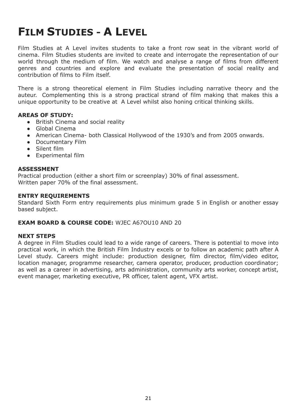## <span id="page-20-0"></span>**FILM STUDIES - A LEVEL**

Film Studies at A Level invites students to take a front row seat in the vibrant world of cinema. Film Studies students are invited to create and interrogate the representation of our world through the medium of film. We watch and analyse a range of films from different genres and countries and explore and evaluate the presentation of social reality and contribution of films to Film itself.

There is a strong theoretical element in Film Studies including narrative theory and the auteur. Complementing this is a strong practical strand of film making that makes this a unique opportunity to be creative at A Level whilst also honing critical thinking skills.

#### **AREAS OF STUDY:**

- British Cinema and social reality
- Global Cinema
- American Cinema- both Classical Hollywood of the 1930's and from 2005 onwards.
- Documentary Film
- Silent film
- Experimental film

#### **ASSESSMENT**

Practical production (either a short film or screenplay) 30% of final assessment. Written paper 70% of the final assessment.

#### **ENTRY REQUIREMENTS**

Standard Sixth Form entry requirements plus minimum grade 5 in English or another essay based subject.

#### **EXAM BOARD & COURSE CODE:** WJEC A67OU10 AND 20

#### **NEXT STEPS**

A degree in Film Studies could lead to a wide range of careers. There is potential to move into practical work, in which the British Film Industry excels or to follow an academic path after A Level study. Careers might include: production designer, film director, film/video editor, location manager, programme researcher, camera operator, producer, production coordinator; as well as a career in advertising, arts administration, community arts worker, concept artist, event manager, marketing executive, PR officer, talent agent, VFX artist.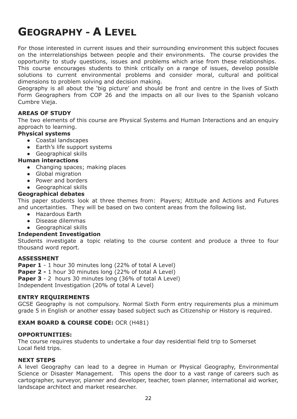## <span id="page-21-0"></span>**GEOGRAPHY - A LEVEL**

For those interested in current issues and their surrounding environment this subject focuses on the interrelationships between people and their environments. The course provides the opportunity to study questions, issues and problems which arise from these relationships. This course encourages students to think critically on a range of issues, develop possible solutions to current environmental problems and consider moral, cultural and political dimensions to problem solving and decision making.

Geography is all about the 'big picture' and should be front and centre in the lives of Sixth Form Geographers from COP 26 and the impacts on all our lives to the Spanish volcano Cumbre Vieja.

#### **AREAS OF STUDY**

The two elements of this course are Physical Systems and Human Interactions and an enquiry approach to learning.

#### **Physical systems**

- Coastal landscapes
- Earth's life support systems
- Geographical skills

#### **Human interactions**

- Changing spaces; making places
- Global migration
- Power and borders
- Geographical skills

#### **Geographical debates**

This paper students look at three themes from: Players; Attitude and Actions and Futures and uncertainties. They will be based on two content areas from the following list.

- Hazardous Earth
- Disease dilemmas
- Geographical skills

#### **Independent Investigation**

Students investigate a topic relating to the course content and produce a three to four thousand word report.

#### **ASSESSMENT**

**Paper 1** - 1 hour 30 minutes long (22% of total A Level)

**Paper 2 -** 1 hour 30 minutes long (22% of total A Level)

**Paper 3** - 2 hours 30 minutes long (36% of total A Level)

Independent Investigation (20% of total A Level)

#### **ENTRY REQUIREMENTS**

GCSE Geography is not compulsory. Normal Sixth Form entry requirements plus a minimum grade 5 in English or another essay based subject such as Citizenship or History is required.

#### **EXAM BOARD & COURSE CODE:** OCR (H481)

#### **OPPORTUNITIES:**

The course requires students to undertake a four day residential field trip to Somerset Local field trips.

#### **NEXT STEPS**

A level Geography can lead to a degree in Human or Physical Geography, Environmental Science or Disaster Management. This opens the door to a vast range of careers such as cartographer, surveyor, planner and developer, teacher, town planner, international aid worker, landscape architect and market researcher.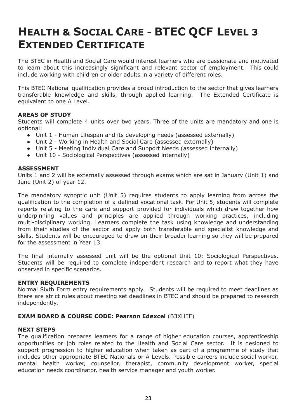## <span id="page-22-0"></span>**HEALTH & SOCIAL CARE - BTEC QCF LEVEL 3 EXTENDED CERTIFICATE**

The BTEC in Health and Social Care would interest learners who are passionate and motivated to learn about this increasingly significant and relevant sector of employment. This could include working with children or older adults in a variety of different roles.

This BTEC National qualification provides a broad introduction to the sector that gives learners transferable knowledge and skills, through applied learning. The Extended Certificate is equivalent to one A Level.

#### **AREAS OF STUDY**

Students will complete 4 units over two years. Three of the units are mandatory and one is optional:

- Unit 1 Human Lifespan and its developing needs (assessed externally)
- Unit 2 Working in Health and Social Care (assessed externally)
- Unit 5 Meeting Individual Care and Support Needs (assessed internally)
- Unit 10 Sociological Perspectives (assessed internally)

#### **ASSESSMENT**

Units 1 and 2 will be externally assessed through exams which are sat in January (Unit 1) and June (Unit 2) of year 12.

The mandatory synoptic unit (Unit 5) requires students to apply learning from across the qualification to the completion of a defined vocational task. For Unit 5, students will complete reports relating to the care and support provided for individuals which draw together how underpinning values and principles are applied through working practices, including multi-disciplinary working. Learners complete the task using knowledge and understanding from their studies of the sector and apply both transferable and specialist knowledge and skills. Students will be encouraged to draw on their broader learning so they will be prepared for the assessment in Year 13.

The final internally assessed unit will be the optional Unit 10: Sociological Perspectives. Students will be required to complete independent research and to report what they have observed in specific scenarios.

#### **ENTRY REQUIREMENTS**

Normal Sixth Form entry requirements apply. Students will be required to meet deadlines as there are strict rules about meeting set deadlines in BTEC and should be prepared to research independently.

#### **EXAM BOARD & COURSE CODE: Pearson Edexcel** (B3XHEF)

#### **NEXT STEPS**

The qualification prepares learners for a range of higher education courses, apprenticeship opportunities or job roles related to the Health and Social Care sector. It is designed to support progression to higher education when taken as part of a programme of study that includes other appropriate BTEC Nationals or A Levels. Possible careers include social worker, mental health worker, counsellor, therapist, community development worker, special education needs coordinator, health service manager and youth worker.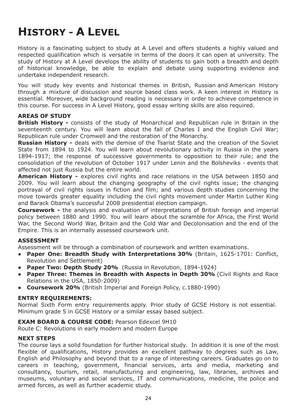# <span id="page-23-0"></span>**HISTORY - A LEVEL**

History is a fascinating subject to study at A Level and offers students a highly valued and respected qualification which is versatile in terms of the doors it can open at university. The study of History at A Level develops the ability of students to gain both a breadth and depth of historical knowledge, be able to explain and debate using supporting evidence and undertake independent research.

You will study key events and historical themes in British, Russian and American History through a mixture of discussion and source based class work. A keen interest in History is essential. Moreover, wide background reading is necessary in order to achieve competence in this course. For success in A Level History, good essay writing skills are also required.

#### **AREAS OF STUDY**

**British History -** consists of the study of Monarchical and Republican rule in Britain in the seventeenth century. You will learn about the fall of Charles I and the English Civil War; Republican rule under Cromwell and the restoration of the Monarchy.

**Russian History -** deals with the demise of the Tsarist State and the creation of the Soviet State from 1894 to 1924. You will learn about revolutionary activity in Russia in the years 1894-1917; the response of successive governments to opposition to their rule; and the consolidation of the revolution of October 1917 under Lenin and the Bolsheviks - events that affected not just Russia but the entire world.

**American History -** explores civil rights and race relations in the USA between 1850 and 2009. You will learn about the changing geography of the civil rights issue; the changing portrayal of civil rights issues in fiction and film; and various depth studies concerning the move towards greater equality including the civil rights movement under Martin Luther King and Barack Obama's successful 2008 presidential election campaign.

**Coursework -** the analysis and evaluation of interpretations of British foreign and imperial policy between 1880 and 1990. You will learn about the scramble for Africa, the First World War, the Second World War, Britain and the Cold War and Decolonisation and the end of the Empire. This is an internally assessed coursework unit.

#### **ASSESSMENT**

Assessment will be through a combination of coursework and written examinations.

- **Paper One: Breadth Study with Interpretations 30%** (Britain, 1625-1701: Conflict, Revolution and Settlement)
- **Paper Two: Depth Study 20%** (Russia in Revolution, 1894-1924)
- **Paper Three: Themes in Breadth with Aspects in Depth 30%** (Civil Rights and Race Relations in the USA, 1850-2009)
- **Coursework 20%** (British Imperial and Foreign Policy, c.1880-1990)

### **ENTRY REQUIREMENTS:**

Normal Sixth Form entry requirements apply. Prior study of GCSE History is not essential. Minimum grade 5 in GCSE History or a similar essay based subject.

### **EXAM BOARD & COURSE CODE:** Pearson Edexcel 9H10

Route C: Revolutions in early modern and modern Europe

#### **NEXT STEPS**

The course lays a solid foundation for further historical study. In addition it is one of the most flexible of qualifications, History provides an excellent pathway to degrees such as Law, English and Philosophy and beyond that to a range of interesting careers. Graduates go on to careers in teaching, government, financial services, arts and media, marketing and consultancy, tourism, retail, manufacturing and engineering, law, libraries, archives and museums, voluntary and social services, IT and communications, medicine, the police and armed forces, as well as further academic study.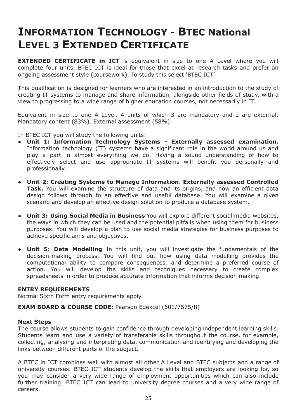## <span id="page-24-0"></span>**INFORMATION TECHNOLOGY - BTEC National LEVEL 3 EXTENDED CERTIFICATE**

**EXTENDED CERTIFICATE in ICT** is equivalent in size to one A Level where you will complete four units. BTEC ICT is ideal for those that excel at research tasks and prefer an ongoing assessment style (coursework). To study this select 'BTEC ICT'.

This qualification is designed for learners who are interested in an introduction to the study of creating IT systems to manage and share information, alongside other fields of study, with a view to progressing to a wide range of higher education courses, not necessarily in IT.

Equivalent in size to one A Level. 4 units of which 3 are mandatory and 2 are external. Mandatory content (83%). External assessment (58%).

In BTEC ICT you will study the following units:

- **● Unit 1: Information Technology Systems - Externally assessed examination.** Information technology (IT) systems have a significant role in the world around us and play a part in almost everything we do. Having a sound understanding of how to effectively select and use appropriate IT systems will benefit you personally and professionally.
- **● Unit 2: Creating Systems to Manage Information**. **Externally assessed Controlled Task.** You will examine the structure of data and its origins, and how an efficient data design follows through to an effective and useful database. You will examine a given scenario and develop an effective design solution to produce a database system.
- **● Unit 3: Using Social Media in Business** You will explore different social media websites, the ways in which they can be used and the potential pitfalls when using them for business purposes. You will develop a plan to use social media strategies for business purposes to achieve specific aims and objectives.
- **● Unit 5: Data Modelling** In this unit, you will investigate the fundamentals of the decision-making process. You will find out how using data modelling provides the computational ability to compare consequences, and determine a preferred course of action. You will develop the skills and techniques necessary to create complex spreadsheets in order to produce accurate information that informs decision making.

#### **ENTRY REQUIREMENTS**

Normal Sixth Form entry requirements apply.

#### **EXAM BOARD & COURSE CODE:** Pearson Edexcel (601/7575/8)

#### **Next Steps**

The course allows students to gain confidence through developing independent learning skills. Students learn and use a variety of transferable skills throughout the course, for example, collecting, analysing and interpreting data, communication and identifying and developing the links between different parts of the subject.

A BTEC in ICT combines well with almost all other A Level and BTEC subjects and a range of university courses. BTEC ICT students develop the skills that employers are looking for, so you may consider a very wide range of employment opportunities which can also include further training. BTEC ICT can lead to university degree courses and a very wide range of careers.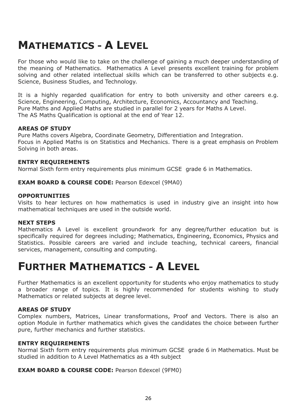## <span id="page-25-0"></span>**MATHEMATICS - A LEVEL**

For those who would like to take on the challenge of gaining a much deeper understanding of the meaning of Mathematics. Mathematics A Level presents excellent training for problem solving and other related intellectual skills which can be transferred to other subjects e.g. Science, Business Studies, and Technology.

It is a highly regarded qualification for entry to both university and other careers e.g. Science, Engineering, Computing, Architecture, Economics, Accountancy and Teaching. Pure Maths and Applied Maths are studied in parallel for 2 years for Maths A Level. The AS Maths Qualification is optional at the end of Year 12.

#### **AREAS OF STUDY**

Pure Maths covers Algebra, Coordinate Geometry, Differentiation and Integration. Focus in Applied Maths is on Statistics and Mechanics. There is a great emphasis on Problem Solving in both areas.

#### **ENTRY REQUIREMENTS**

Normal Sixth form entry requirements plus minimum GCSE grade 6 in Mathematics.

#### **EXAM BOARD & COURSE CODE:** Pearson Edexcel (9MA0)

#### **OPPORTUNITIES**

Visits to hear lectures on how mathematics is used in industry give an insight into how mathematical techniques are used in the outside world.

#### **NEXT STEPS**

Mathematics A Level is excellent groundwork for any degree/further education but is specifically required for degrees including; Mathematics, Engineering, Economics, Physics and Statistics. Possible careers are varied and include teaching, technical careers, financial services, management, consulting and computing.

## <span id="page-25-1"></span>**FURTHER MATHEMATICS - A LEVEL**

Further Mathematics is an excellent opportunity for students who enjoy mathematics to study a broader range of topics. It is highly recommended for students wishing to study Mathematics or related subjects at degree level.

#### **AREAS OF STUDY**

Complex numbers, Matrices, Linear transformations, Proof and Vectors. There is also an option Module in further mathematics which gives the candidates the choice between further pure, further mechanics and further statistics.

#### **ENTRY REQUIREMENTS**

Normal Sixth form entry requirements plus minimum GCSE grade 6 in Mathematics. Must be studied in addition to A Level Mathematics as a 4th subject

#### **EXAM BOARD & COURSE CODE:** Pearson Edexcel (9FM0)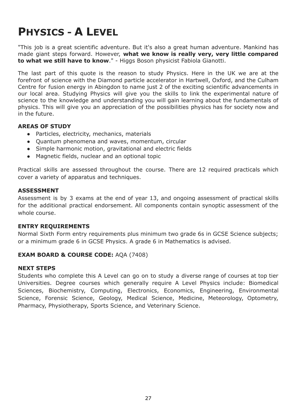## <span id="page-26-0"></span>**PHYSICS - A LEVEL**

"This job is a great scientific adventure. But it's also a great human adventure. Mankind has made giant steps forward. However, **what we know is really very, very little compared to what we still have to know**." - Higgs Boson physicist Fabiola Gianotti.

The last part of this quote is the reason to study Physics. Here in the UK we are at the forefront of science with the Diamond particle accelerator in Hartwell, Oxford, and the Culham Centre for fusion energy in Abingdon to name just 2 of the exciting scientific advancements in our local area. Studying Physics will give you the skills to link the experimental nature of science to the knowledge and understanding you will gain learning about the fundamentals of physics. This will give you an appreciation of the possibilities physics has for society now and in the future.

#### **AREAS OF STUDY**

- Particles, electricity, mechanics, materials
- Quantum phenomena and waves, momentum, circular
- Simple harmonic motion, gravitational and electric fields
- Magnetic fields, nuclear and an optional topic

Practical skills are assessed throughout the course. There are 12 required practicals which cover a variety of apparatus and techniques.

#### **ASSESSMENT**

Assessment is by 3 exams at the end of year 13, and ongoing assessment of practical skills for the additional practical endorsement. All components contain synoptic assessment of the whole course.

#### **ENTRY REQUIREMENTS**

Normal Sixth Form entry requirements plus minimum two grade 6s in GCSE Science subjects; or a minimum grade 6 in GCSE Physics. A grade 6 in Mathematics is advised.

### **EXAM BOARD & COURSE CODE:** AQA (7408)

#### **NEXT STEPS**

Students who complete this A Level can go on to study a diverse range of courses at top tier Universities. Degree courses which generally require A Level Physics include: Biomedical Sciences, Biochemistry, Computing, Electronics, Economics, Engineering, Environmental Science, Forensic Science, Geology, Medical Science, Medicine, Meteorology, Optometry, Pharmacy, Physiotherapy, Sports Science, and Veterinary Science.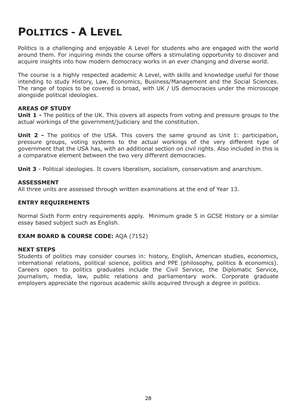## <span id="page-27-0"></span>**POLITICS - A LEVEL**

Politics is a challenging and enjoyable A Level for students who are engaged with the world around them. For inquiring minds the course offers a stimulating opportunity to discover and acquire insights into how modern democracy works in an ever changing and diverse world.

The course is a highly respected academic A Level, with skills and knowledge useful for those intending to study History, Law, Economics, Business/Management and the Social Sciences. The range of topics to be covered is broad, with UK / US democracies under the microscope alongside political ideologies.

#### **AREAS OF STUDY**

**Unit 1 -** The politics of the UK. This covers all aspects from voting and pressure groups to the actual workings of the government/judiciary and the constitution.

**Unit 2 -** The politics of the USA. This covers the same ground as Unit 1: participation, pressure groups, voting systems to the actual workings of the very different type of government that the USA has, with an additional section on civil rights. Also included in this is a comparative element between the two very different democracies.

**Unit 3** - Political ideologies. It covers liberalism, socialism, conservatism and anarchism.

#### **ASSESSMENT**

All three units are assessed through written examinations at the end of Year 13.

#### **ENTRY REQUIREMENTS**

Normal Sixth Form entry requirements apply. Minimum grade 5 in GCSE History or a similar essay based subject such as English.

#### **EXAM BOARD & COURSE CODE:** AQA (7152)

#### **NEXT STEPS**

Students of politics may consider courses in: history, English, American studies, economics, international relations, political science, politics and PPE (philosophy, politics & economics). Careers open to politics graduates include the Civil Service, the Diplomatic Service, journalism, media, law, public relations and parliamentary work. Corporate graduate employers appreciate the rigorous academic skills acquired through a degree in politics.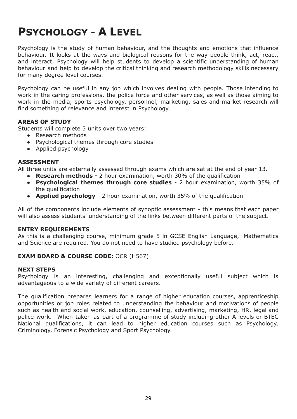## <span id="page-28-0"></span>**PSYCHOLOGY - A LEVEL**

Psychology is the study of human behaviour, and the thoughts and emotions that influence behaviour. It looks at the ways and biological reasons for the way people think, act, react, and interact. Psychology will help students to develop a scientific understanding of human behaviour and help to develop the critical thinking and research methodology skills necessary for many degree level courses.

Psychology can be useful in any job which involves dealing with people. Those intending to work in the caring professions, the police force and other services, as well as those aiming to work in the media, sports psychology, personnel, marketing, sales and market research will find something of relevance and interest in Psychology.

#### **AREAS OF STUDY**

Students will complete 3 units over two years:

- Research methods
- Psychological themes through core studies
- Applied psychology

#### **ASSESSMENT**

All three units are externally assessed through exams which are sat at the end of year 13.

- **Research methods -** 2 hour examination, worth 30% of the qualification
- **Psychological themes through core studies** 2 hour examination, worth 35% of the qualification
- **Applied psychology** 2 hour examination, worth 35% of the qualification

All of the components include elements of synoptic assessment - this means that each paper will also assess students' understanding of the links between different parts of the subject.

#### **ENTRY REQUIREMENTS**

As this is a challenging course, minimum grade 5 in GCSE English Language, Mathematics and Science are required. You do not need to have studied psychology before.

#### **EXAM BOARD & COURSE CODE:** OCR (H567)

#### **NEXT STEPS**

Psychology is an interesting, challenging and exceptionally useful subject which is advantageous to a wide variety of different careers.

The qualification prepares learners for a range of higher education courses, apprenticeship opportunities or job roles related to understanding the behaviour and motivations of people such as health and social work, education, counselling, advertising, marketing, HR, legal and police work. When taken as part of a programme of study including other A levels or BTEC National qualifications, it can lead to higher education courses such as Psychology, Criminology, Forensic Psychology and Sport Psychology.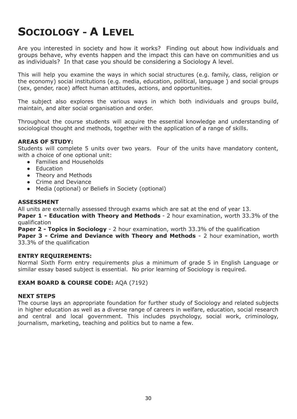## <span id="page-29-0"></span>**SOCIOLOGY - A LEVEL**

Are you interested in society and how it works? Finding out about how individuals and groups behave, why events happen and the impact this can have on communities and us as individuals? In that case you should be considering a Sociology A level.

This will help you examine the ways in which social structures (e.g. family, class, religion or the economy) social institutions (e.g. media, education, political, language ) and social groups (sex, gender, race) affect human attitudes, actions, and opportunities.

The subject also explores the various ways in which both individuals and groups build, maintain, and alter social organisation and order.

Throughout the course students will acquire the essential knowledge and understanding of sociological thought and methods, together with the application of a range of skills.

#### **AREAS OF STUDY:**

Students will complete 5 units over two years. Four of the units have mandatory content, with a choice of one optional unit:

- Families and Households
- Education
- Theory and Methods
- Crime and Deviance
- Media (optional) or Beliefs in Society (optional)

#### **ASSESSMENT**

All units are externally assessed through exams which are sat at the end of year 13.

**Paper 1 - Education with Theory and Methods** - 2 hour examination, worth 33.3% of the qualification

**Paper 2 - Topics in Sociology** - 2 hour examination, worth 33.3% of the qualification **Paper 3 - Crime and Deviance with Theory and Methods** - 2 hour examination, worth 33.3% of the qualification

#### **ENTRY REQUIREMENTS:**

Normal Sixth Form entry requirements plus a minimum of grade 5 in English Language or similar essay based subject is essential. No prior learning of Sociology is required.

#### **EXAM BOARD & COURSE CODE:** AQA (7192)

#### **NEXT STEPS**

The course lays an appropriate foundation for further study of Sociology and related subjects in higher education as well as a diverse range of careers in welfare, education, social research and central and local government. This includes psychology, social work, criminology, journalism, marketing, teaching and politics but to name a few.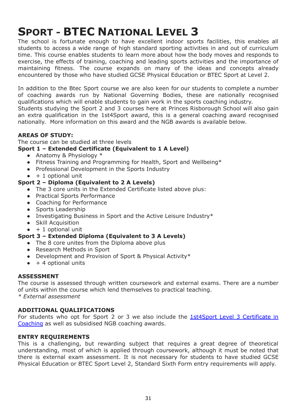# <span id="page-30-0"></span>**SPORT - BTEC NATIONAL LEVEL 3**

The school is fortunate enough to have excellent indoor sports facilities, this enables all students to access a wide range of high standard sporting activities in and out of curriculum time. This course enables students to learn more about how the body moves and responds to exercise, the effects of training, coaching and leading sports activities and the importance of maintaining fitness. The course expands on many of the ideas and concepts already encountered by those who have studied GCSE Physical Education or BTEC Sport at Level 2.

In addition to the Btec Sport course we are also keen for our students to complete a number of coaching awards run by National Governing Bodies, these are nationally recognised qualifications which will enable students to gain work in the sports coaching industry.

Students studying the Sport 2 and 3 courses here at Princes Risborough School will also gain an extra qualification in the 1st4Sport award, this is a general coaching award recognised nationally. More information on this award and the NGB awards is available below.

### **AREAS OF STUDY:**

The course can be studied at three levels

### **Sport 1 – Extended Certificate (Equivalent to 1 A Level)**

- Anatomy & Physiology  $*$
- Fitness Training and Programming for Health, Sport and Wellbeing\*
- Professional Development in the Sports Industry
- $\bullet$  + 1 optional unit

### <span id="page-30-1"></span>**Sport 2 – Diploma (Equivalent to 2 A Levels)**

- The 3 core units in the Extended Certificate listed above plus:
- Practical Sports Performance
- Coaching for Performance
- Sports Leadership
- Investigating Business in Sport and the Active Leisure Industry\*
- Skill Acquisition
- $\bullet$  + 1 optional unit

### <span id="page-30-2"></span>**Sport 3 – Extended Diploma (Equivalent to 3 A Levels)**

- The 8 core unites from the Diploma above plus
- Research Methods in Sport
- Development and Provision of Sport & Physical Activity\*
- $\bullet$  + 4 optional units

#### **ASSESSMENT**

The course is assessed through written coursework and external exams. There are a number of units within the course which lend themselves to practical teaching. *\* External assessment*

### **ADDITIONAL QUALIFICATIONS**

For students who opt for Sport 2 or 3 we also include the 1st4Sport Level 3 [Certificate](https://www.1st4sportqualifications.com/wp-content/uploads/2017/12/L3-Cert-in-Coaching-Sport-and-Physical-Activity-QS-V1-0112171.pdf) in [Coaching](https://www.1st4sportqualifications.com/wp-content/uploads/2017/12/L3-Cert-in-Coaching-Sport-and-Physical-Activity-QS-V1-0112171.pdf) as well as subsidised NGB coaching awards.

### **ENTRY REQUIREMENTS**

This is a challenging, but rewarding subject that requires a great degree of theoretical understanding, most of which is applied through coursework, although it must be noted that there is external exam assessment. It is not necessary for students to have studied GCSE Physical Education or BTEC Sport Level 2, Standard Sixth Form entry requirements will apply.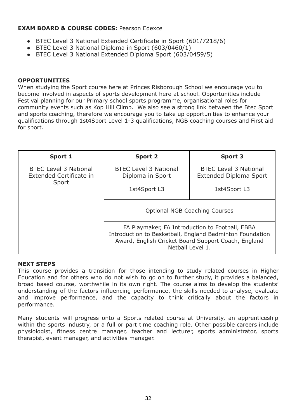### **EXAM BOARD & COURSE CODES:** Pearson Edexcel

- BTEC Level 3 National Extended Certificate in Sport [\(601/7218/6\)](https://qualifications.pearson.com/en/qualifications/btec-nationals/sport-2016.html#tab-0)
- BTEC Level 3 National Diploma in Sport [\(603/0460/1\)](https://qualifications.pearson.com/en/qualifications/btec-nationals/sport-2016.html#tab-3)
- BTEC Level 3 National Extended Diploma Sport (603/0459/5)

### **OPPORTUNITIES**

When studying the Sport course here at Princes Risborough School we encourage you to become involved in aspects of sports development here at school. Opportunities include Festival planning for our Primary school sports programme, organisational roles for community events such as Kop Hill Climb. We also see a strong link between the Btec Sport and sports coaching, therefore we encourage you to take up opportunities to enhance your qualifications through 1st4Sport Level 1-3 qualifications, NGB coaching courses and First aid for sport.

| Sport 1                                                          | <b>Sport 2</b>                                   | <b>Sport 3</b>                                                                                                                                                                         |  |
|------------------------------------------------------------------|--------------------------------------------------|----------------------------------------------------------------------------------------------------------------------------------------------------------------------------------------|--|
| <b>BTEC Level 3 National</b><br>Extended Certificate in<br>Sport | <b>BTEC Level 3 National</b><br>Diploma in Sport | <b>BTEC Level 3 National</b><br><b>Extended Diploma Sport</b>                                                                                                                          |  |
|                                                                  | 1st4Sport L3                                     | 1st4Sport L3                                                                                                                                                                           |  |
|                                                                  | <b>Optional NGB Coaching Courses</b>             |                                                                                                                                                                                        |  |
|                                                                  |                                                  | FA Playmaker, FA Introduction to Football, EBBA<br>Introduction to Basketball, England Badminton Foundation<br>Award, English Cricket Board Support Coach, England<br>Netball Level 1. |  |

### **NEXT STEPS**

This course provides a transition for those intending to study related courses in Higher Education and for others who do not wish to go on to further study, it provides a balanced, broad based course, worthwhile in its own right. The course aims to develop the students' understanding of the factors influencing performance, the skills needed to analyse, evaluate and improve performance, and the capacity to think critically about the factors in performance.

Many students will progress onto a Sports related course at University, an apprenticeship within the sports industry, or a full or part time coaching role. Other possible careers include physiologist, fitness centre manager, teacher and lecturer, sports administrator, sports therapist, event manager, and activities manager.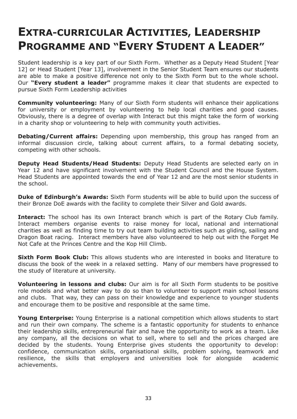## **EXTRA-CURRICULAR ACTIVITIES, LEADERSHIP PROGRAMME AND "EVERY STUDENT A LEADER"**

Student leadership is a key part of our Sixth Form. Whether as a Deputy Head Student [Year 12] or Head Student [Year 13], involvement in the Senior Student Team ensures our students are able to make a positive difference not only to the Sixth Form but to the whole school. Our **"Every student a leader"** programme makes it clear that students are expected to pursue Sixth Form Leadership activities

**Community volunteering:** Many of our Sixth Form students will enhance their applications for university or employment by volunteering to help local charities and good causes. Obviously, there is a degree of overlap with Interact but this might take the form of working in a charity shop or volunteering to help with community youth activities.

**Debating/Current affairs:** Depending upon membership, this group has ranged from an informal discussion circle, talking about current affairs, to a formal debating society, competing with other schools.

**Deputy Head Students/Head Students:** Deputy Head Students are selected early on in Year 12 and have significant involvement with the Student Council and the House System. Head Students are appointed towards the end of Year 12 and are the most senior students in the school.

**Duke of Edinburgh's Awards:** Sixth Form students will be able to build upon the success of their Bronze DoE awards with the facility to complete their Silver and Gold awards.

**Interact:** The school has its own Interact branch which is part of the Rotary Club family. Interact members organise events to raise money for local, national and international charities as well as finding time to try out team building activities such as gliding, sailing and Dragon Boat racing. Interact members have also volunteered to help out with the Forget Me Not Cafe at the Princes Centre and the Kop Hill Climb.

**Sixth Form Book Club:** This allows students who are interested in books and literature to discuss the book of the week in a relaxed setting. Many of our members have progressed to the study of literature at university.

**Volunteering in lessons and clubs:** Our aim is for all Sixth Form students to be positive role models and what better way to do so than to volunteer to support main school lessons and clubs. That way, they can pass on their knowledge and experience to younger students and encourage them to be positive and responsible at the same time.

**Young Enterprise:** Young Enterprise is a national competition which allows students to start and run their own company. The scheme is a fantastic opportunity for students to enhance their leadership skills, entrepreneurial flair and have the opportunity to work as a team. Like any company, all the decisions on what to sell, where to sell and the prices charged are decided by the students. Young Enterprise gives students the opportunity to develop: confidence, communication skills, organisational skills, problem solving, teamwork and resilience, the skills that employers and universities look for alongside academic achievements.